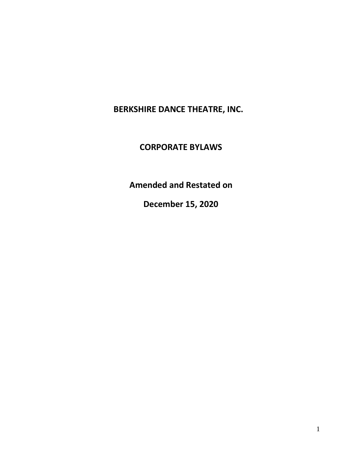**BERKSHIRE DANCE THEATRE, INC.** 

# **CORPORATE BYLAWS**

**Amended and Restated on**

**December 15, 2020**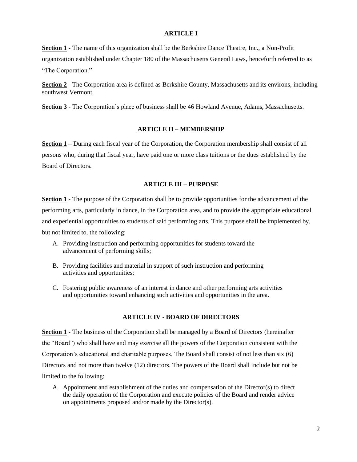#### **ARTICLE I**

**Section 1** - The name of this organization shall be the Berkshire Dance Theatre, Inc., a Non-Profit organization established under Chapter 180 of the Massachusetts General Laws, henceforth referred to as "The Corporation."

**Section 2** - The Corporation area is defined as Berkshire County, Massachusetts and its environs, including southwest Vermont.

**Section 3** - The Corporation's place of business shall be 46 Howland Avenue, Adams, Massachusetts.

## **ARTICLE II – MEMBERSHIP**

**Section 1** – During each fiscal year of the Corporation, the Corporation membership shall consist of all persons who, during that fiscal year, have paid one or more class tuitions or the dues established by the Board of Directors.

## **ARTICLE III – PURPOSE**

**Section 1** - The purpose of the Corporation shall be to provide opportunities for the advancement of the performing arts, particularly in dance, in the Corporation area, and to provide the appropriate educational and experiential opportunities to students of said performing arts. This purpose shall be implemented by, but not limited to, the following:

- A. Providing instruction and performing opportunities for students toward the advancement of performing skills;
- B. Providing facilities and material in support of such instruction and performing activities and opportunities;
- C. Fostering public awareness of an interest in dance and other performing arts activities and opportunities toward enhancing such activities and opportunities in the area.

### **ARTICLE IV - BOARD OF DIRECTORS**

**Section 1** - The business of the Corporation shall be managed by a Board of Directors (hereinafter the "Board") who shall have and may exercise all the powers of the Corporation consistent with the Corporation's educational and charitable purposes. The Board shall consist of not less than six (6) Directors and not more than twelve (12) directors. The powers of the Board shall include but not be limited to the following:

A. Appointment and establishment of the duties and compensation of the Director(s) to direct the daily operation of the Corporation and execute policies of the Board and render advice on appointments proposed and/or made by the Director(s).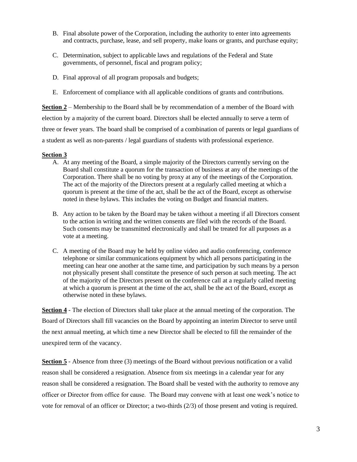- B. Final absolute power of the Corporation, including the authority to enter into agreements and contracts, purchase, lease, and sell property, make loans or grants, and purchase equity;
- C. Determination, subject to applicable laws and regulations of the Federal and State governments, of personnel, fiscal and program policy;
- D. Final approval of all program proposals and budgets;
- E. Enforcement of compliance with all applicable conditions of grants and contributions.

**Section 2** – Membership to the Board shall be by recommendation of a member of the Board with election by a majority of the current board. Directors shall be elected annually to serve a term of three or fewer years. The board shall be comprised of a combination of parents or legal guardians of a student as well as non-parents / legal guardians of students with professional experience.

#### **Section 3**

- A. At any meeting of the Board, a simple majority of the Directors currently serving on the Board shall constitute a quorum for the transaction of business at any of the meetings of the Corporation. There shall be no voting by proxy at any of the meetings of the Corporation. The act of the majority of the Directors present at a regularly called meeting at which a quorum is present at the time of the act, shall be the act of the Board, except as otherwise noted in these bylaws. This includes the voting on Budget and financial matters.
- B. Any action to be taken by the Board may be taken without a meeting if all Directors consent to the action in writing and the written consents are filed with the records of the Board. Such consents may be transmitted electronically and shall be treated for all purposes as a vote at a meeting.
- C. A meeting of the Board may be held by online video and audio conferencing, conference telephone or similar communications equipment by which all persons participating in the meeting can hear one another at the same time, and participation by such means by a person not physically present shall constitute the presence of such person at such meeting. The act of the majority of the Directors present on the conference call at a regularly called meeting at which a quorum is present at the time of the act, shall be the act of the Board, except as otherwise noted in these bylaws.

**Section 4** - The election of Directors shall take place at the annual meeting of the corporation. The Board of Directors shall fill vacancies on the Board by appointing an interim Director to serve until the next annual meeting, at which time a new Director shall be elected to fill the remainder of the unexpired term of the vacancy.

**Section 5** - Absence from three (3) meetings of the Board without previous notification or a valid reason shall be considered a resignation. Absence from six meetings in a calendar year for any reason shall be considered a resignation. The Board shall be vested with the authority to remove any officer or Director from office for cause. The Board may convene with at least one week's notice to vote for removal of an officer or Director; a two-thirds (2/3) of those present and voting is required.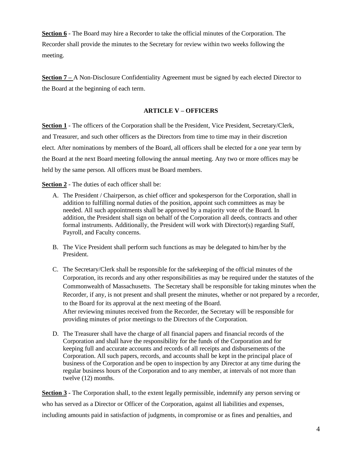**Section 6** - The Board may hire a Recorder to take the official minutes of the Corporation. The Recorder shall provide the minutes to the Secretary for review within two weeks following the meeting.

**Section 7** – A Non-Disclosure Confidentiality Agreement must be signed by each elected Director to the Board at the beginning of each term.

# **ARTICLE V – OFFICERS**

**Section 1** - The officers of the Corporation shall be the President, Vice President, Secretary/Clerk, and Treasurer, and such other officers as the Directors from time to time may in their discretion elect. After nominations by members of the Board, all officers shall be elected for a one year term by the Board at the next Board meeting following the annual meeting. Any two or more offices may be held by the same person. All officers must be Board members.

**Section 2** - The duties of each officer shall be:

- A. The President / Chairperson, as chief officer and spokesperson for the Corporation, shall in addition to fulfilling normal duties of the position, appoint such committees as may be needed. All such appointments shall be approved by a majority vote of the Board. In addition, the President shall sign on behalf of the Corporation all deeds, contracts and other formal instruments. Additionally, the President will work with Director(s) regarding Staff, Payroll, and Faculty concerns.
- B. The Vice President shall perform such functions as may be delegated to him/her by the President.
- C. The Secretary/Clerk shall be responsible for the safekeeping of the official minutes of the Corporation, its records and any other responsibilities as may be required under the statutes of the Commonwealth of Massachusetts. The Secretary shall be responsible for taking minutes when the Recorder, if any, is not present and shall present the minutes, whether or not prepared by a recorder, to the Board for its approval at the next meeting of the Board. After reviewing minutes received from the Recorder, the Secretary will be responsible for providing minutes of prior meetings to the Directors of the Corporation.
- D. The Treasurer shall have the charge of all financial papers and financial records of the Corporation and shall have the responsibility for the funds of the Corporation and for keeping full and accurate accounts and records of all receipts and disbursements of the Corporation. All such papers, records, and accounts shall be kept in the principal place of business of the Corporation and be open to inspection by any Director at any time during the regular business hours of the Corporation and to any member, at intervals of not more than twelve (12) months.

**Section 3** - The Corporation shall, to the extent legally permissible, indemnify any person serving or who has served as a Director or Officer of the Corporation, against all liabilities and expenses, including amounts paid in satisfaction of judgments, in compromise or as fines and penalties, and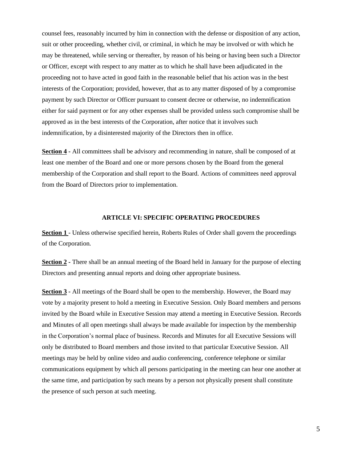counsel fees, reasonably incurred by him in connection with the defense or disposition of any action, suit or other proceeding, whether civil, or criminal, in which he may be involved or with which he may be threatened, while serving or thereafter, by reason of his being or having been such a Director or Officer, except with respect to any matter as to which he shall have been adjudicated in the proceeding not to have acted in good faith in the reasonable belief that his action was in the best interests of the Corporation; provided, however, that as to any matter disposed of by a compromise payment by such Director or Officer pursuant to consent decree or otherwise, no indemnification either for said payment or for any other expenses shall be provided unless such compromise shall be approved as in the best interests of the Corporation, after notice that it involves such indemnification, by a disinterested majority of the Directors then in office.

**Section 4 -** All committees shall be advisory and recommending in nature, shall be composed of at least one member of the Board and one or more persons chosen by the Board from the general membership of the Corporation and shall report to the Board. Actions of committees need approval from the Board of Directors prior to implementation.

#### **ARTICLE VI: SPECIFIC OPERATING PROCEDURES**

**Section 1** - Unless otherwise specified herein, Roberts Rules of Order shall govern the proceedings of the Corporation.

**Section 2 -** There shall be an annual meeting of the Board held in January for the purpose of electing Directors and presenting annual reports and doing other appropriate business.

**Section 3 -** All meetings of the Board shall be open to the membership. However, the Board may vote by a majority present to hold a meeting in Executive Session. Only Board members and persons invited by the Board while in Executive Session may attend a meeting in Executive Session. Records and Minutes of all open meetings shall always be made available for inspection by the membership in the Corporation's normal place of business. Records and Minutes for all Executive Sessions will only be distributed to Board members and those invited to that particular Executive Session. All meetings may be held by online video and audio conferencing, conference telephone or similar communications equipment by which all persons participating in the meeting can hear one another at the same time, and participation by such means by a person not physically present shall constitute the presence of such person at such meeting.